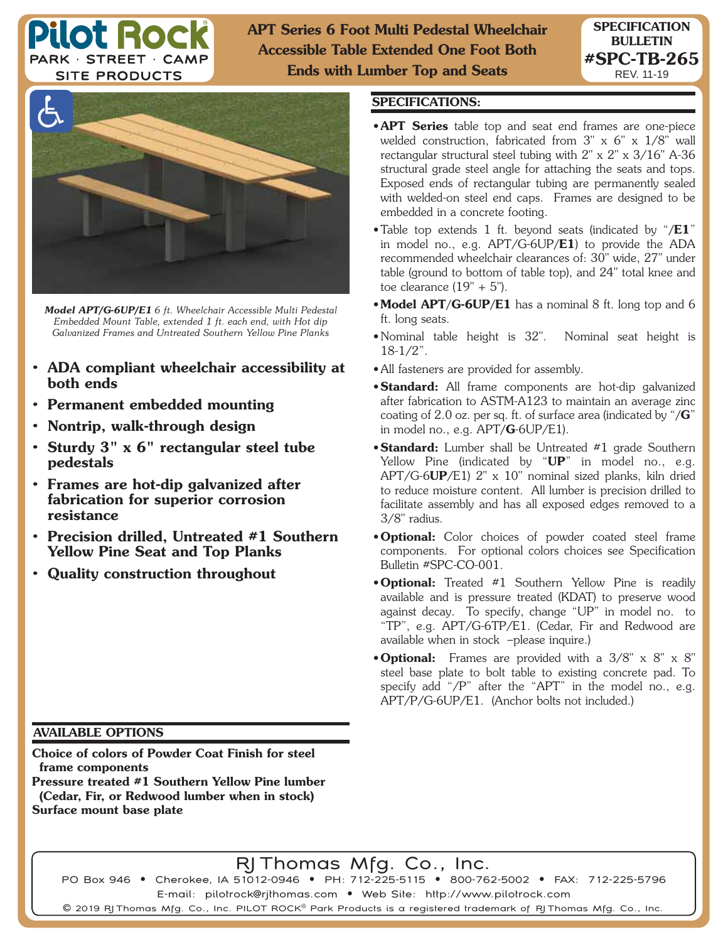

**APT Series 6 Foot Multi Pedestal Wheelchair Accessible Table Extended One Foot Both Ends with Lumber Top and Seats**



*Model APT/G-6UP/E1 6 ft. Wheelchair Accessible Multi Pedestal Embedded Mount Table, extended 1 ft. each end, with Hot dip Galvanized Frames and Untreated Southern Yellow Pine Planks*

- **ADA compliant wheelchair accessibility at both ends**
- **Permanent embedded mounting**
- **Nontrip, walk-through design**
- **Sturdy 3" x 6" rectangular steel tube pedestals**
- **Frames are hot-dip galvanized after fabrication for superior corrosion resistance**
- **Precision drilled, Untreated #1 Southern Yellow Pine Seat and Top Planks**
- **Quality construction throughout**

## **SPECIFICATIONS:**

- **APT Series** table top and seat end frames are one-piece welded construction, fabricated from 3" x 6" x 1/8" wall rectangular structural steel tubing with 2" x 2" x 3/16" A-36 structural grade steel angle for attaching the seats and tops. Exposed ends of rectangular tubing are permanently sealed with welded-on steel end caps. Frames are designed to be embedded in a concrete footing.
- Table top extends 1 ft. beyond seats (indicated by "**/E1**" in model no., e.g. APT/G-6UP**/E1**) to provide the ADA recommended wheelchair clearances of: 30" wide, 27" under table (ground to bottom of table top), and 24" total knee and toe clearance  $(19" + 5")$ .
- **Model APT/G-6UP/E1** has a nominal 8 ft. long top and 6 ft. long seats.
- Nominal table height is 32". Nominal seat height is 18-1/2".
- All fasteners are provided for assembly.
- **Standard:** All frame components are hot-dip galvanized after fabrication to ASTM-A123 to maintain an average zinc coating of 2.0 oz. per sq. ft. of surface area (indicated by "**/G**" in model no., e.g. APT**/G**-6UP/E1).
- **Standard:** Lumber shall be Untreated #1 grade Southern Yellow Pine (indicated by "**UP**" in model no., e.g. APT/G-6**UP**/E1) 2" x 10" nominal sized planks, kiln dried to reduce moisture content. All lumber is precision drilled to facilitate assembly and has all exposed edges removed to a 3/8" radius.
- **Optional:** Color choices of powder coated steel frame components. For optional colors choices see Specification Bulletin #SPC-CO-001.
- **Optional:** Treated #1 Southern Yellow Pine is readily available and is pressure treated (KDAT) to preserve wood against decay. To specify, change "UP" in model no. to "TP", e.g. APT/G-6TP/E1. (Cedar, Fir and Redwood are available when in stock –please inquire.)
- **Optional:** Frames are provided with a 3/8" x 8" x 8" steel base plate to bolt table to existing concrete pad. To specify add "/P" after the "APT" in the model no., e.g. APT/P/G-6UP/E1. (Anchor bolts not included.)

## **AVAILABLE OPTIONS**

**Choice of colors of Powder Coat Finish for steel frame components**

**Pressure treated #1 Southern Yellow Pine lumber (Cedar, Fir, or Redwood lumber when in stock) Surface mount base plate**

RJ Thomas Mfg. Co., Inc.

PO Box 946 • Cherokee, IA 51012-0946 • PH: 712-225-5115 • 800-762-5002 • FAX: 712-225-5796 E-mail: pilotrock@rjthomas.com • Web Site: http://www.pilotrock.com

 $\mathsf{\Theta}$  2019 RJ Thomas Mfg. Co., Inc. PILOT ROCK $^\circ$  Park Products is a registered trademark of RJ Thomas Mfg. Co., Inc.